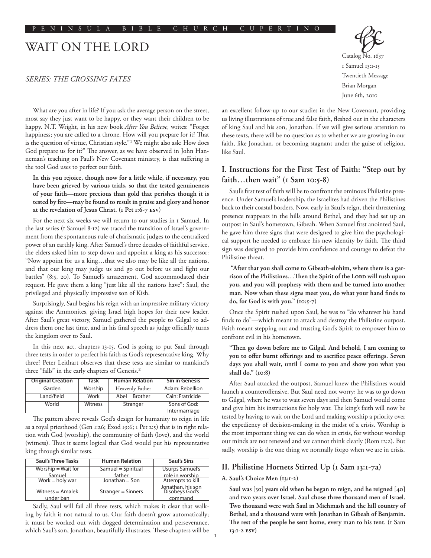# WAIT ON THE LORD

# *Series: The Crossing Fates*



June 6th, 2010

What are you after in life? If you ask the average person on the street, most say they just want to be happy, or they want their children to be happy. N.T. Wright, in his new book *After You Believe,* writes: "Forget happiness; you are called to a throne. How will you prepare for it? That is the question of virtue, Christian style."1 We might also ask: How does God prepare us for it?" The answer, as we have observed in John Hanneman's teaching on Paul's New Covenant ministry, is that suffering is the tool God uses to perfect our faith.

**In this you rejoice, though now for a little while, if necessary, you have been grieved by various trials, so that the tested genuineness of your faith—more precious than gold that perishes though it is tested by fire—may be found to result in praise and glory and honor at the revelation of Jesus Christ. (1 Pet 1:6-7 ESV)**

For the next six weeks we will return to our studies in 1 Samuel. In the last series (1 Samuel 8-12) we traced the transition of Israel's government from the spontaneous rule of charismatic judges to the centralized power of an earthly king. After Samuel's three decades of faithful service, the elders asked him to step down and appoint a king as his successor: "Now appoint for us a king…that we also may be like all the nations, and that our king may judge us and go out before us and fight our battles" (8:5, 20). To Samuel's amazement, God accommodated their request. He gave them a king "just like all the nations have": Saul, the privileged and physically impressive son of Kish.

Surprisingly, Saul begins his reign with an impressive military victory against the Ammonites, giving Israel high hopes for their new leader. After Saul's great victory, Samuel gathered the people to Gilgal to address them one last time, and in his final speech as judge officially turns the kingdom over to Saul.

In this next act, chapters 13-15, God is going to put Saul through three tests in order to perfect his faith as God's representative king. Why three? Peter Leithart observes that these tests are similar to mankind's three "falls" in the early chapters of Genesis.2

| Original Creation | Task    | <b>Human Relation</b> | <b>Sin in Genesis</b> |
|-------------------|---------|-----------------------|-----------------------|
| Garden            | Worship | Heavenly Father       | Adam: Rebellion       |
| Land/field        | Work    | $Abel = Brother$      | Cain: Fratricide      |
| World             | Witness | Stranger              | Sons of God:          |
|                   |         |                       | Intermarriage         |

The pattern above reveals God's design for humanity to reign in life as a royal priesthood (Gen 1:26; Exod 19:6; 1 Pet 2:5) that is in right relation with God (worship), the community of faith (love), and the world (witness). Thus it seems logical that God would put his representative king through similar tests.

| <b>Saul's Three Tasks</b> | <b>Human Relation</b> | <b>Saul's Sins</b>                  |
|---------------------------|-----------------------|-------------------------------------|
| $Worship = Wait for$      | Samuel = Spiritual    | <b>Usurps Samuel's</b>              |
|                           | father                | role in worship                     |
| Samuel<br>Work = holy war | Jonathan $=$ Son      | Attempts to kill                    |
|                           |                       | Jonathan, his son<br>Disobeys God's |
| Witness $=$ Amalek        | Stranger = Sinners    |                                     |
| under ban                 |                       | command                             |

Sadly, Saul will fail all three tests, which makes it clear that walking by faith is not natural to us. Our faith doesn't grow automatically; it must be worked out with dogged determination and perseverance, which Saul's son, Jonathan, beautifully illustrates. These chapters will be an excellent follow-up to our studies in the New Covenant, providing us living illustrations of true and false faith, fleshed out in the characters of king Saul and his son, Jonathan. If we will give serious attention to these texts, there will be no question as to whether we are growing in our faith, like Jonathan, or becoming stagnant under the guise of religion, like Saul.

# **I. Instructions for the First Test of Faith: "Step out by faith…then wait" (1 Sam 10:5-8)**

Saul's first test of faith will be to confront the ominous Philistine presence. Under Samuel's leadership, the Israelites had driven the Philistines back to their coastal borders. Now, early in Saul's reign, their threatening presence reappears in the hills around Bethel, and they had set up an outpost in Saul's hometown, Gibeah. When Samuel first anointed Saul, he gave him three signs that were designed to give him the psychological support he needed to embrace his new identity by faith. The third sign was designed to provide him confidence and courage to defeat the Philistine threat.

 **"After that you shall come to Gibeath-elohim, where there is a gar**rison of the Philistines...Then the Spirit of the Loro will rush upon **you, and you will prophesy with them and be turned into another man. Now when these signs meet you, do what your hand finds to do, for God is with you." (10:5-7)**

Once the Spirit rushed upon Saul, he was to "do whatever his hand finds to do"—which meant to attack and destroy the Philistine outpost. Faith meant stepping out and trusting God's Spirit to empower him to confront evil in his hometown.

**"Then go down before me to Gilgal. And behold, I am coming to you to offer burnt offerings and to sacrifice peace offerings. Seven days you shall wait, until I come to you and show you what you shall do." (10:8)**

After Saul attacked the outpost, Samuel knew the Philistines would launch a counteroffensive. But Saul need not worry; he was to go down to Gilgal, where he was to wait seven days and then Samuel would come and give him his instructions for holy war. The king's faith will now be tested by having to wait on the Lord and making worship a priority over the expediency of decision-making in the midst of a crisis. Worship is the most important thing we can do when in crisis, for without worship our minds are not renewed and we cannot think clearly (Rom 12:2). But sadly, worship is the one thing we normally forgo when we are in crisis.

# **II. Philistine Hornets Stirred Up (1 Sam 13:1-7a)**

## **A. Saul's Choice Men (13:1-2)**

**Saul was [30] years old when he began to reign, and he reigned [40] and two years over Israel. Saul chose three thousand men of Israel. Two thousand were with Saul in Michmash and the hill country of Bethel, and a thousand were with Jonathan in Gibeah of Benjamin.**  The rest of the people he sent home, every man to his tent. (I Sam **13:1-2 ESV)**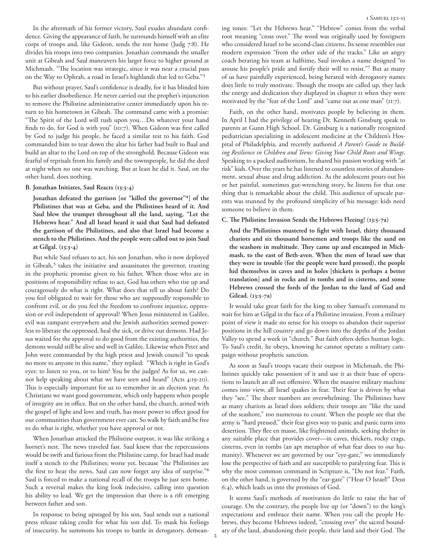In the aftermath of his former victory, Saul exudes abundant confidence. Giving the appearance of faith, he surrounds himself with an elite corps of troops and, like Gideon, sends the rest home (Judg 7:8). He divides his troops into two companies. Jonathan commands the smaller unit at Gibeah and Saul maneuvers his larger force to higher ground at Michmash. "The location was strategic, since it was near a crucial pass on the Way to Ophrah, a road in Israel's highlands that led to Geba."3

But without prayer, Saul's confidence is deadly, for it has blinded him to his earlier disobedience. He never carried out the prophet's injunction to remove the Philistine administrative center immediately upon his return to his hometown in Gibeah. The command came with a promise: "The Spirit of the Lord will rush upon you…Do whatever your hand finds to do, for God is with you" (10:7). When Gideon was first called by God to judge his people, he faced a similar test to his faith. God commanded him to tear down the altar his father had built to Baal and build an altar to the Lord on top of the stronghold. Because Gideon was fearful of reprisals from his family and the townspeople, he did the deed at night when no one was watching. But at least he did it. Saul, on the other hand, does nothing.

### **B. Jonathan Initiates, Saul Reacts (13:3-4)**

**Jonathan defeated the garrison [or "killed the governor"4] of the Philistines that was at Geba, and the Philistines heard of it. And Saul blew the trumpet throughout all the land, saying, "Let the Hebrews hear." And all Israel heard it said that Saul had defeated the garrison of the Philistines, and also that Israel had become a stench to the Philistines. And the people were called out to join Saul at Gilgal. (13:3-4)**

But while Saul refuses to act, his son Jonathan, who is now deployed in Gibeah, $5$  takes the initiative and assassinates the governor, trusting in the prophetic promise given to his father. When those who are in positions of responsibility refuse to act, God has others who rise up and courageously do what is right. What does that tell us about faith? Do you feel obligated to wait for those who are supposedly responsible to confront evil, or do you feel the freedom to confront injustice, oppression or evil independent of approval? When Jesus ministered in Galilee, evil was rampant everywhere and the Jewish authorities seemed powerless to liberate the oppressed, heal the sick, or drive out demons. Had Jesus waited for the approval to do good from the existing authorities, the demons would still be alive and well in Galilee. Likewise when Peter and John were commanded by the high priest and Jewish council "to speak no more to anyone in this name," they replied: "Which is right in God's eyes: to listen to you, or to him? You be the judges! As for us, we cannot help speaking about what we have seen and heard" (Acts 4:19-20). This is especially important for us to remember in an election year. As Christians we want good government, which only happens when people of integrity are in office. But on the other hand, the church, armed with the gospel of light and love and truth, has more power to effect good for our communities than government ever can. So walk by faith and be free to do what is right, whether you have approval or not.

When Jonathan attacked the Philistine outpost, it was like striking a hornet's nest. The news traveled fast. Saul knew that the repercussions would be swift and furious from the Philistine camp, for Israel had made itself a stench to the Philistines; worse yet, because "the Philistines are the first to hear the news, Saul can now forget any idea of surprise."6 Saul is forced to make a national recall of the troops he just sent home. Such a reversal makes the king look indecisive, calling into question his ability to lead. We get the impression that there is a rift emerging between father and son.

In response to being upstaged by his son, Saul sends out a national press release taking credit for what his son did. To mask his feelings of insecurity, he summons his troops to battle in derogatory, demeaning tones: "Let the Hebrews hear." "Hebrew" comes from the verbal root meaning "cross over." The word was originally used by foreigners who considered Israel to be second-class citizens. Its sense resembles our modern expression "from the other side of the tracks." Like an angry coach berating his team at halftime, Saul invokes a name designed "to arouse his people's pride and fortify their will to resist."7 But as many of us have painfully experienced, being berated with derogatory names does little to truly motivate. Though the troops are called up, they lack the energy and dedication they displayed in chapter 11 when they were motivated by the "fear of the Lord" and "came out as one man" (11:7).

Faith, on the other hand, motivates people by believing in them. In April I had the privilege of hearing Dr. Kenneth Ginsburg speak to parents at Gunn High School. Dr. Ginsburg is a nationally recognized pediatrician specializing in adolescent medicine at the Children's Hospital of Philadelphia, and recently authored *A Parent's Guide to Building Resilience in Children and Teens: Giving Your Child Roots and Wings*. Speaking to a packed auditorium, he shared his passion working with "at risk" kids. Over the years he has listened to countless stories of abandonment, sexual abuse and drug addiction. As the adolescent pours out his or her painful, sometimes gut-wrenching story, he listens for that one thing that is remarkable about the child. This audience of upscale parents was stunned by the profound simplicity of his message: kids need someone to believe in them.

## **C. The Philistine Invasion Sends the Hebrews Fleeing! (13:5-7a)**

**And the Philistines mustered to fight with Israel, thirty thousand chariots and six thousand horsemen and troops like the sand on the seashore in multitude. They came up and encamped in Michmash, to the east of Beth-aven. When the men of Israel saw that they were in trouble (for the people were hard pressed), the people hid themselves in caves and in holes [thickets is perhaps a better translation] and in rocks and in tombs and in cisterns, and some Hebrews crossed the fords of the Jordan to the land of Gad and Gilead. (13:5-7a)**

It would take great faith for the king to obey Samuel's command to wait for him at Gilgal in the face of a Philistine invasion. From a military point of view it made no sense for his troops to abandon their superior positions in the hill country and go down into the depths of the Jordan Valley to spend a week in "church." But faith often defies human logic. To Saul's credit, he obeys, knowing he cannot operate a military campaign without prophetic sanction.

As soon as Saul's troops vacate their outpost in Michmash, the Philistines quickly take possession of it and use it as their base of operations to launch an all out offensive. When the massive military machine comes into view, all Israel quakes in fear. Their fear is driven by what they "see." The sheer numbers are overwhelming. The Philistines have as many chariots as Israel does soldiers; their troops are "like the sand of the seashore," too numerous to count. When the people see that the army is "hard pressed," their fear gives way to panic and panic turns into desertion. They flee en masse, like frightened animals, seeking shelter in any suitable place that provides cover—in caves, thickets, rocky crags, cisterns, even in tombs (an apt metaphor of what fear does to our humanity). Whenever we are governed by our "eye-gate," we immediately lose the perspective of faith and are susceptible to paralyzing fear. This is why the most common command in Scripture is, "Do not fear." Faith, on the other hand, is governed by the "ear-gate" ("Hear O Israel!" Deut 6:4), which leads us into the promises of God.

It seems Saul's methods of motivation do little to raise the bar of courage. On the contrary, the people live up (or "down") to the king's expectations and embrace their name. When you call the people Hebrews, they become Hebrews indeed, "crossing over" the sacred boundary of the land, abandoning their people, their land and their God. The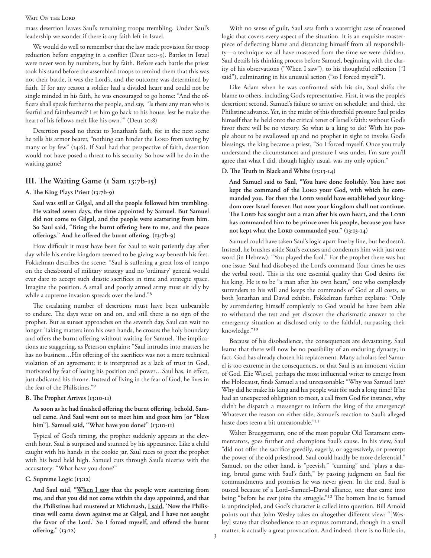#### WAIT ON THE LORD

mass desertion leaves Saul's remaining troops trembling. Under Saul's leadership we wonder if there is any faith left in Israel.

We would do well to remember that the law made provision for troop reduction before engaging in a conflict (Deut 20:1-9). Battles in Israel were never won by numbers, but by faith. Before each battle the priest took his stand before the assembled troops to remind them that this was not their battle, it was the Lord's, and the outcome was determined by faith. If for any reason a soldier had a divided heart and could not be single minded in his faith, he was encouraged to go home: "And the officers shall speak further to the people, and say, 'Is there any man who is fearful and fainthearted? Let him go back to his house, lest he make the heart of his fellows melt like his own.'" (Deut 20:8)

Desertion posed no threat to Jonathan's faith, for in the next scene he tells his armor bearer, "nothing can hinder the LORD from saving by many or by few" (14:6). If Saul had that perspective of faith, desertion would not have posed a threat to his security. So how will he do in the waiting game?

# **III. The Waiting Game (1 Sam 13:7b-15)**

**A. The King Plays Priest (13:7b-9)**

**Saul was still at Gilgal, and all the people followed him trembling. He waited seven days, the time appointed by Samuel. But Samuel did not come to Gilgal, and the people were scattering from him. So Saul said, "Bring the burnt offering here to me, and the peace offerings." And he offered the burnt offering. (13:7b-9)**

How difficult it must have been for Saul to wait patiently day after day while his entire kingdom seemed to be giving way beneath his feet. Fokkelman describes the scene: "Saul is suffering a great loss of tempo on the chessboard of military strategy and no 'ordinary' general would ever dare to accept such drastic sacrifices in time and strategic space. Imagine the position. A small and poorly armed army must sit idly by while a supreme invasion spreads over the land."8

The escalating number of desertions must have been unbearable to endure. The days wear on and on, and still there is no sign of the prophet. But as sunset approaches on the seventh day, Saul can wait no longer. Taking matters into his own hands, he crosses the holy boundary and offers the burnt offering without waiting for Samuel. The implications are staggering, as Peterson explains: "Saul intrudes into matters he has no business…His offering of the sacrifices was not a mere technical violation of an agreement; it is interpreted as a lack of trust in God, motivated by fear of losing his position and power…Saul has, in effect, just abdicated his throne. Instead of living in the fear of God, he lives in the fear of the Philistines."9

## **B. The Prophet Arrives (13:10-11)**

**As soon as he had finished offering the burnt offering, behold, Samuel came. And Saul went out to meet him and greet him [or "bless him"]. Samuel said, "What have you done?" (13:10-11)**

Typical of God's timing, the prophet suddenly appears at the eleventh hour. Saul is surprised and stunned by his appearance. Like a child caught with his hands in the cookie jar, Saul races to greet the prophet with his head held high. Samuel cuts through Saul's niceties with the accusatory: "What have you done?"

## **C. Supreme Logic (13:12)**

**And Saul said, "When I saw that the people were scattering from me, and that you did not come within the days appointed, and that the Philistines had mustered at Michmash, I said, 'Now the Philistines will come down against me at Gilgal, and I have not sought the favor of the Lord.' So I forced myself, and offered the burnt offering." (13:12)**

With no sense of guilt, Saul sets forth a watertight case of reasoned logic that covers every aspect of the situation. It is an exquisite masterpiece of deflecting blame and distancing himself from all responsibility—a technique we all have mastered from the time we were children. Saul details his thinking process before Samuel, beginning with the clarity of his observations ("When I saw"), to his thoughtful reflection ("I said"), culminating in his unusual action ("so I forced myself").

Like Adam when he was confronted with his sin, Saul shifts the blame to others, including God's representative. First, it was the people's desertion; second, Samuel's failure to arrive on schedule; and third, the Philistine advance. Yet, in the midst of this threefold pressure Saul prides himself that he held onto the critical tenet of Israel's faith: without God's favor there will be no victory. So what is a king to do? With his people about to be swallowed up and no prophet in sight to invoke God's blessings, the king became a priest, "So I forced myself. Once you truly understand the circumstances and pressure I was under, I'm sure you'll agree that what I did, though highly usual, was my only option."

## **D. The Truth in Black and White (13:13-14)**

**And Samuel said to Saul, "You have done foolishly. You have not**  kept the command of the LORD your God, with which he commanded you. For then the LORD would have established your king**dom over Israel forever. But now your kingdom shall not continue.**  The Lord has sought out a man after his own heart, and the Lord **has commanded him to be prince over his people, because you have**  not kept what the LORD commanded you." (13:13-14)

Samuel could have taken Saul's logic apart line by line, but he doesn't. Instead, he brushes aside Saul's excuses and condemns him with just one word (in Hebrew): "You played the fool." For the prophet there was but one issue: Saul had disobeyed the Lord's command (four times he uses the verbal root). This is the one essential quality that God desires for his king. He is to be "a man after his own heart," one who completely surrenders to his will and keeps the commands of God at all costs, as both Jonathan and David exhibit. Fokkelman further explains: "Only by surrendering himself completely to God would he have been able to withstand the test and yet discover the charismatic answer to the emergency situation as disclosed only to the faithful, surpassing their knowledge."10

Because of his disobedience, the consequences are devastating. Saul learns that there will now be no possibility of an enduring dynasty; in fact, God has already chosen his replacement. Many scholars feel Samuel is too extreme in the consequences, or that Saul is an innocent victim of God. Elie Wiesel, perhaps the most influential writer to emerge from the Holocaust, finds Samuel a tad unreasonable: "Why was Samuel late? Why did he make his king and his people wait for such a long time? If he had an unexpected obligation to meet, a call from God for instance, why didn't he dispatch a messenger to inform the king of the emergency? Whatever the reason on either side, Samuel's reaction to Saul's alleged haste does seem a bit unreasonable."11

Walter Brueggemann, one of the most popular Old Testament commentators, goes further and champions Saul's cause. In his view, Saul "did not offer the sacrifice greedily, eagerly, or aggressively, or preempt the power of the old priesthood. Saul could hardly be more deferential." Samuel, on the other hand, is "peevish," "cunning" and "plays a daring, brutal game with Saul's faith," by passing judgment on Saul for commandments and promises he was never given. In the end, Saul is ousted because of a Lord–Samuel–David alliance, one that came into being "before he ever joins the struggle."12 The bottom line is: Samuel is unprincipled, and God's character is called into question. Bill Arnold points out that John Wesley takes an altogether different view: "[Wesley] states that disobedience to an express command, though in a small matter, is actually a great provocation. And indeed, there is no little sin,